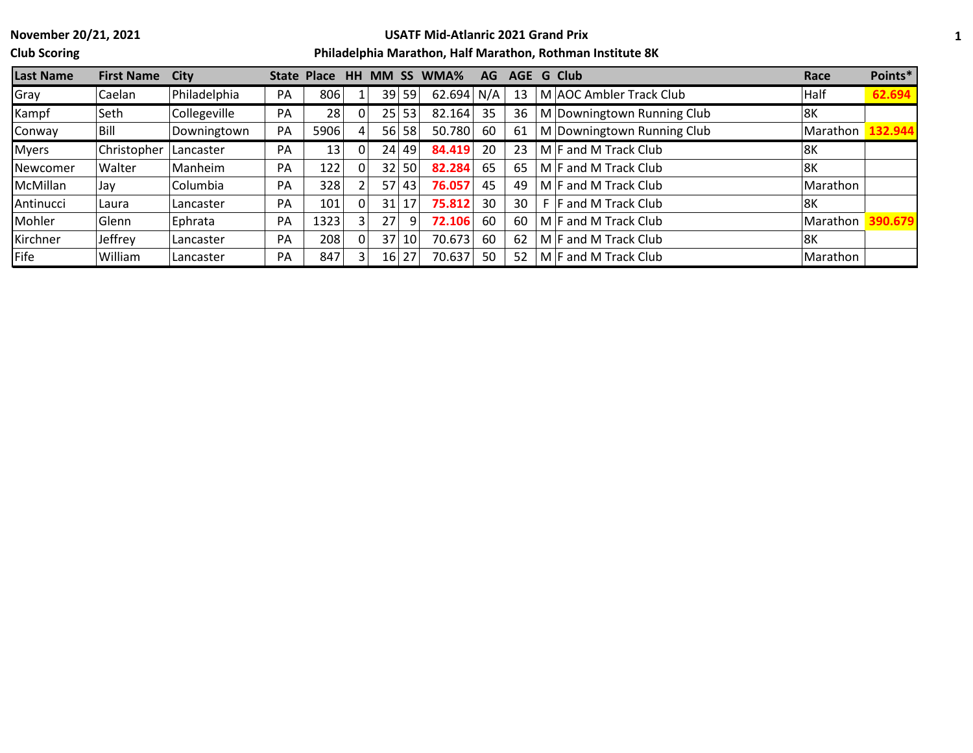**Club Scoring**

# **USATF Mid-Atlanric 2021 Grand Prix**

| <b>Last Name</b> | <b>First Name</b> | City         | State Place |      | HН | <b>MM</b> | <b>SS</b> | WMA%   | <b>AG</b> | <b>AGE</b> | <b>G</b> Club              | Race     | Points* |
|------------------|-------------------|--------------|-------------|------|----|-----------|-----------|--------|-----------|------------|----------------------------|----------|---------|
| Gray             | Caelan            | Philadelphia | PA          | 806  |    |           | 39 59     | 62.694 | N/A       | 13         | M AOC Ambler Track Club    | Half     | 62.694  |
| Kampf            | Seth              | Collegeville | PA          | 28   |    |           | 25 53     | 82.164 | 35        | 36         | M Downingtown Running Club | 8K       |         |
| Conway           | Bill              | Downingtown  | PA          | 5906 |    | <b>56</b> | 58'       | 50.780 | 60        | 61         | M Downingtown Running Club | Marathon | 132.944 |
| <b>Myers</b>     | Christopher       | Lancaster    | PA          | 13   |    |           | 24 49     | 84.419 | 20        | 23         | $M$ F and M Track Club     | 8K       |         |
| Newcomer         | Walter            | Manheim      | PA          | 122  |    | 32        | 50        | 82.284 | 65        | 65         | $M$ F and M Track Club     | l8K      |         |
| McMillan         | Jav               | Columbia     | PA          | 328  |    | 57        | 43        | 76.057 | 45        | 49         | M F and M Track Club       | Marathon |         |
| Antinucci        | Laura             | Lancaster    | PA          | 101  |    | 31        | 17        | 75.812 | 30        | 30         | <b>F</b> and M Track Club  | l8K      |         |
| Mohler           | Glenn             | Ephrata      | PA          | 1323 |    | 27        |           | 72.106 | 60        | 60         | M F and M Track Club       | Marathon | 90.679  |
| Kirchner         | Jeffrey           | Lancaster    | PA          | 208  |    | 37        | 10        | 70.673 | 60        | 62         | M F and M Track Club       | l8K      |         |
| Fife             | William           | Lancaster    | PA          | 847  |    |           | 16 27     | 70.637 | 50        | 52         | $M$ F and M Track Club     | Marathon |         |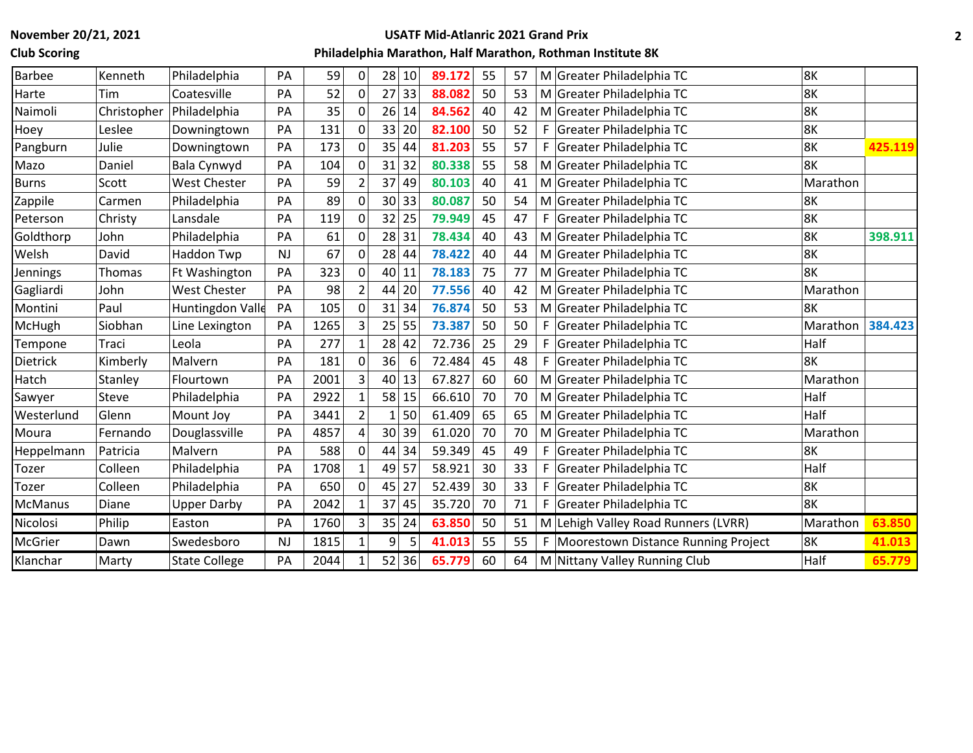**Club Scoring**

# **USATF Mid-Atlanric 2021 Grand Prix**

| <b>Barbee</b>  | Kenneth     | Philadelphia         | PA        | 59   | $\mathbf{0}$   | 28              | 10    | 89.172 | 55 | 57 |    | M Greater Philadelphia TC             | 8K       |         |
|----------------|-------------|----------------------|-----------|------|----------------|-----------------|-------|--------|----|----|----|---------------------------------------|----------|---------|
| Harte          | Tim         | Coatesville          | PA        | 52   | $\Omega$       | 27              | 33    | 88.082 | 50 | 53 |    | M Greater Philadelphia TC             | 8K       |         |
| Naimoli        | Christopher | Philadelphia         | PA        | 35   | $\mathbf{0}$   | 26              | 14    | 84.562 | 40 | 42 |    | M Greater Philadelphia TC             | 8K       |         |
| Hoey           | Leslee      | Downingtown          | PA        | 131  | 0              | 33              | 20    | 82.100 | 50 | 52 |    | F Greater Philadelphia TC             | 8K       |         |
| Pangburn       | Julie       | Downingtown          | PA        | 173  | $\Omega$       | 35              | 44    | 81.203 | 55 | 57 | F. | Greater Philadelphia TC               | 8K       | 425.119 |
| Mazo           | Daniel      | Bala Cynwyd          | PA        | 104  | $\Omega$       | 31              | 32    | 80.338 | 55 | 58 |    | M Greater Philadelphia TC             | 8K       |         |
| <b>Burns</b>   | Scott       | West Chester         | PA        | 59   |                | 37              | 49    | 80.103 | 40 | 41 |    | M Greater Philadelphia TC             | Marathon |         |
| Zappile        | Carmen      | Philadelphia         | PA        | 89   | $\Omega$       | 30              | 33    | 80.087 | 50 | 54 |    | M Greater Philadelphia TC             | 8K       |         |
| Peterson       | Christy     | Lansdale             | PA        | 119  | $\Omega$       | 32              | 25    | 79.949 | 45 | 47 |    | F Greater Philadelphia TC             | 8K       |         |
| Goldthorp      | John        | Philadelphia         | PA        | 61   |                |                 | 28 31 | 78.434 | 40 | 43 |    | M Greater Philadelphia TC             | 8K       | 398.911 |
| Welsh          | David       | Haddon Twp           | <b>NJ</b> | 67   | $\Omega$       | 28              | 44    | 78.422 | 40 | 44 |    | M Greater Philadelphia TC             | 8K       |         |
| Jennings       | Thomas      | Ft Washington        | PA        | 323  | $\Omega$       | 40              | 11    | 78.183 | 75 | 77 |    | M Greater Philadelphia TC             | 8K       |         |
| Gagliardi      | John        | <b>West Chester</b>  | PA        | 98   |                | 44              | 20    | 77.556 | 40 | 42 |    | M Greater Philadelphia TC             | Marathon |         |
| Montini        | Paul        | Huntingdon Valle     | PA        | 105  | $\Omega$       | 31              | 34    | 76.874 | 50 | 53 |    | M Greater Philadelphia TC             | 8K       |         |
| McHugh         | Siobhan     | Line Lexington       | PA        | 1265 | 3              | 25              | 55    | 73.387 | 50 | 50 | F. | Greater Philadelphia TC               | Marathon | 384.423 |
| Tempone        | Traci       | Leola                | PA        | 277  |                | 28              | 42    | 72.736 | 25 | 29 | F. | Greater Philadelphia TC               | Half     |         |
| Dietrick       | Kimberly    | Malvern              | PA        | 181  | $\Omega$       | 36              | 6     | 72.484 | 45 | 48 |    | F Greater Philadelphia TC             | 8K       |         |
| Hatch          | Stanley     | Flourtown            | PA        | 2001 | 3              | 40              | 13    | 67.827 | 60 | 60 |    | M Greater Philadelphia TC             | Marathon |         |
| Sawyer         | Steve       | Philadelphia         | PA        | 2922 |                | 58              | 15    | 66.610 | 70 | 70 |    | M Greater Philadelphia TC             | Half     |         |
| Westerlund     | Glenn       | Mount Joy            | PA        | 3441 | $\overline{2}$ |                 | 50    | 61.409 | 65 | 65 |    | M Greater Philadelphia TC             | Half     |         |
| Moura          | Fernando    | Douglassville        | PA        | 4857 | 4              | 30 <sup>1</sup> | 39    | 61.020 | 70 | 70 |    | M Greater Philadelphia TC             | Marathon |         |
| Heppelmann     | Patricia    | Malvern              | PA        | 588  |                | 44              | 34    | 59.349 | 45 | 49 |    | F Greater Philadelphia TC             | 8K       |         |
| Tozer          | Colleen     | Philadelphia         | PA        | 1708 |                | 49              | 57    | 58.921 | 30 | 33 | F. | Greater Philadelphia TC               | Half     |         |
| Tozer          | Colleen     | Philadelphia         | PA        | 650  | $\mathbf 0$    | 45              | 27    | 52.439 | 30 | 33 | F. | Greater Philadelphia TC               | 8K       |         |
| <b>McManus</b> | Diane       | <b>Upper Darby</b>   | PA        | 2042 |                | 37              | 45    | 35.720 | 70 | 71 | F. | Greater Philadelphia TC               | 8K       |         |
| Nicolosi       | Philip      | Easton               | PA        | 1760 | 3              | 35              | 24    | 63.850 | 50 | 51 |    | M Lehigh Valley Road Runners (LVRR)   | Marathon | 63.850  |
| McGrier        | Dawn        | Swedesboro           | <b>NJ</b> | 1815 |                | 9               | 5     | 41.013 | 55 | 55 |    | F Moorestown Distance Running Project | 8K       | 41.013  |
| Klanchar       | Marty       | <b>State College</b> | PA        | 2044 |                |                 | 52 36 | 65.779 | 60 | 64 |    | M Nittany Valley Running Club         | Half     | 65.779  |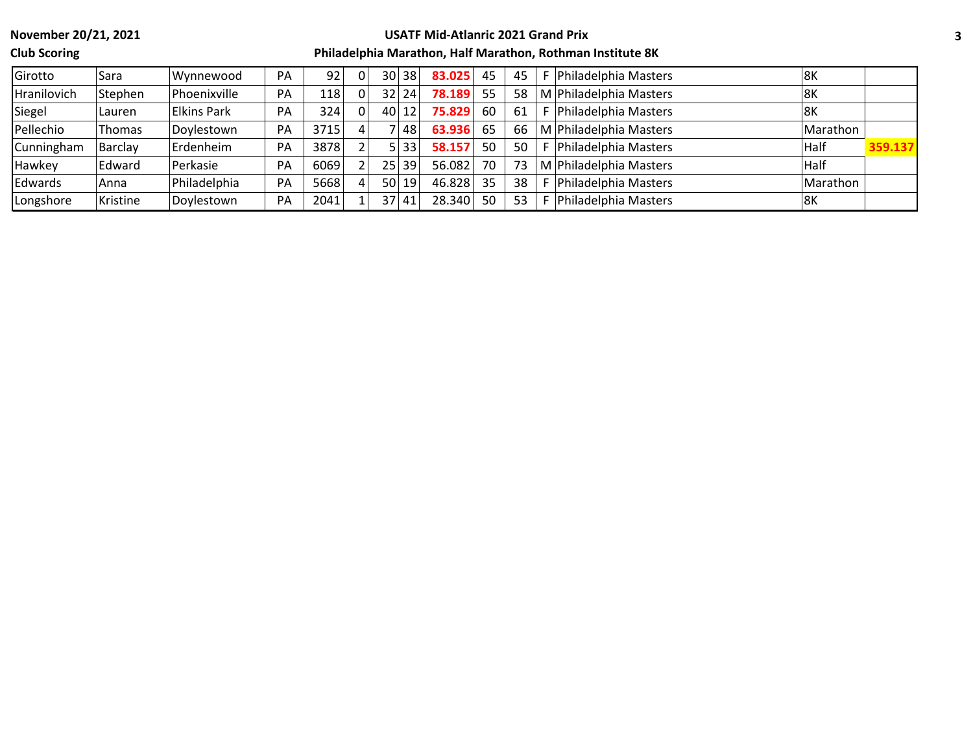**Club Scoring**

#### **USATF Mid-Atlanric 2021 Grand Prix**

| Girotto     | Sara     | Wynnewood          | PA | 92   | 30 <sup>1</sup> | 38 l            | 83.025 | 45 | 45 | Philadelphia Masters   | 8K       |         |
|-------------|----------|--------------------|----|------|-----------------|-----------------|--------|----|----|------------------------|----------|---------|
| Hranilovich | Stephen  | Phoenixville       | PA | 118  | 32 <sup>1</sup> | 24              | 78.189 | 55 | 58 | M Philadelphia Masters | 8K       |         |
| Siegel      | Lauren   | <b>Elkins Park</b> | PA | 324  | 40              | 12 <sup>1</sup> | 75.829 | 60 | 61 | Philadelphia Masters   | 8K       |         |
| Pellechio   | Thomas   | Doylestown         | PA | 3715 |                 | 48              | 63.936 | 65 | 66 | M Philadelphia Masters | Marathon |         |
| Cunningham  | Barclay  | Erdenheim          | PA | 3878 |                 | 33 <sup>1</sup> | 58.157 | 50 | 50 | Philadelphia Masters   | Half     | 359.137 |
| Hawkey      | Edward   | Perkasie           | PA | 6069 | 25 <sub>1</sub> | 39 <sup>1</sup> | 56.082 | 70 | 73 | M Philadelphia Masters | Half     |         |
| Edwards     | Anna     | Philadelphia       | PA | 5668 | 50 l            | 19 <sup>°</sup> | 46.828 | 35 | 38 | Philadelphia Masters   | Marathon |         |
| Longshore   | Kristine | Doylestown         | PA | 2041 | 37              | 41              | 28.340 | 50 | 53 | Philadelphia Masters   | 8K       |         |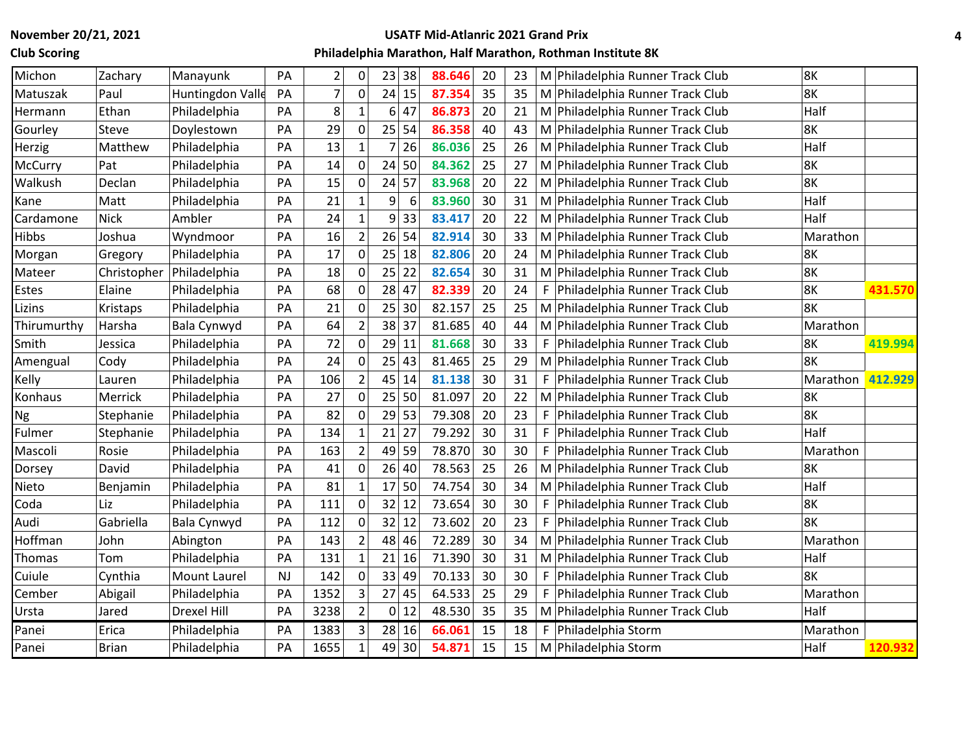## **Club Scoring**

# **USATF Mid-Atlanric 2021 Grand Prix**

| Michon      | Zachary      | Manayunk            | PA        | $\overline{2}$ | 0              | 23      | 38    | 88.646 | 20 | 23 |    | M Philadelphia Runner Track Club   | 8K       |         |
|-------------|--------------|---------------------|-----------|----------------|----------------|---------|-------|--------|----|----|----|------------------------------------|----------|---------|
| Matuszak    | Paul         | Huntingdon Valle    | PA        | $\overline{7}$ | $\Omega$       | 24      | 15    | 87.354 | 35 | 35 |    | M Philadelphia Runner Track Club   | 8K       |         |
| Hermann     | Ethan        | Philadelphia        | PA        | 8              | 1              | 6       | 47    | 86.873 | 20 | 21 |    | M Philadelphia Runner Track Club   | Half     |         |
| Gourley     | Steve        | Doylestown          | PA        | 29             | $\mathbf{0}$   | 25 54   |       | 86.358 | 40 | 43 |    | M Philadelphia Runner Track Club   | 8K       |         |
| Herzig      | Matthew      | Philadelphia        | PA        | 13             |                |         | 26    | 86.036 | 25 | 26 |    | M Philadelphia Runner Track Club   | Half     |         |
| McCurry     | Pat          | Philadelphia        | PA        | 14             | $\Omega$       | 24      | 50    | 84.362 | 25 | 27 |    | M Philadelphia Runner Track Club   | 8K       |         |
| Walkush     | Declan       | Philadelphia        | PA        | 15             | 0              | 24      | 57    | 83.968 | 20 | 22 |    | M Philadelphia Runner Track Club   | 8K       |         |
| Kane        | Matt         | Philadelphia        | PA        | 21             |                | 9       | 6     | 83.960 | 30 | 31 |    | M Philadelphia Runner Track Club   | Half     |         |
| Cardamone   | <b>Nick</b>  | Ambler              | PA        | 24             |                | 9       | 33    | 83.417 | 20 | 22 |    | M Philadelphia Runner Track Club   | Half     |         |
| Hibbs       | Joshua       | Wyndmoor            | PA        | 16             | $\overline{2}$ | $26$ 54 |       | 82.914 | 30 | 33 |    | M Philadelphia Runner Track Club   | Marathon |         |
| Morgan      | Gregory      | Philadelphia        | PA        | 17             | $\Omega$       | 25      | 18    | 82.806 | 20 | 24 |    | M Philadelphia Runner Track Club   | 8K       |         |
| Mateer      | Christopher  | Philadelphia        | PA        | 18             | 0              | 25      | 22    | 82.654 | 30 | 31 |    | M Philadelphia Runner Track Club   | 8K       |         |
| Estes       | Elaine       | Philadelphia        | PA        | 68             | 0              | 28      | 47    | 82.339 | 20 | 24 | F  | Philadelphia Runner Track Club     | 8K       | 431.570 |
| Lizins      | Kristaps     | Philadelphia        | PA        | 21             | 0              | 25      | 30    | 82.157 | 25 | 25 |    | M Philadelphia Runner Track Club   | 8K       |         |
| Thirumurthy | Harsha       | Bala Cynwyd         | PA        | 64             | $\overline{2}$ | 38 37   |       | 81.685 | 40 | 44 |    | M Philadelphia Runner Track Club   | Marathon |         |
| Smith       | Jessica      | Philadelphia        | PA        | 72             | $\Omega$       | 29 11   |       | 81.668 | 30 | 33 | F  | Philadelphia Runner Track Club     | 8K       | 419.994 |
| Amengual    | Cody         | Philadelphia        | PA        | 24             | $\Omega$       | 25      | 43    | 81.465 | 25 | 29 |    | M Philadelphia Runner Track Club   | 8K       |         |
| Kelly       | Lauren       | Philadelphia        | PA        | 106            | $\overline{2}$ | 45      | 14    | 81.138 | 30 | 31 |    | F   Philadelphia Runner Track Club | Marathon | 412.929 |
| Konhaus     | Merrick      | Philadelphia        | PA        | 27             | $\mathbf 0$    | 25      | 50    | 81.097 | 20 | 22 |    | M Philadelphia Runner Track Club   | 8K       |         |
| Ng          | Stephanie    | Philadelphia        | PA        | 82             | 0              | 29      | 53    | 79.308 | 20 | 23 | F  | Philadelphia Runner Track Club     | 8K       |         |
| Fulmer      | Stephanie    | Philadelphia        | PA        | 134            |                | 21      | 27    | 79.292 | 30 | 31 | F  | Philadelphia Runner Track Club     | Half     |         |
| Mascoli     | Rosie        | Philadelphia        | PA        | 163            | $\overline{2}$ | 49      | 59    | 78.870 | 30 | 30 | F. | Philadelphia Runner Track Club     | Marathon |         |
| Dorsey      | David        | Philadelphia        | PA        | 41             | $\mathbf 0$    | $26$ 40 |       | 78.563 | 25 | 26 |    | M Philadelphia Runner Track Club   | 8K       |         |
| Nieto       | Benjamin     | Philadelphia        | PA        | 81             |                | 17      | 50    | 74.754 | 30 | 34 |    | M Philadelphia Runner Track Club   | Half     |         |
| Coda        | Liz          | Philadelphia        | PA        | 111            | 0              | 32      | 12    | 73.654 | 30 | 30 | F. | Philadelphia Runner Track Club     | 8K       |         |
| Audi        | Gabriella    | Bala Cynwyd         | PA        | 112            | $\Omega$       | 32      | 12    | 73.602 | 20 | 23 | F. | Philadelphia Runner Track Club     | 8K       |         |
| Hoffman     | John         | Abington            | PA        | 143            | $\overline{2}$ | 48      | 46    | 72.289 | 30 | 34 |    | M Philadelphia Runner Track Club   | Marathon |         |
| Thomas      | Tom          | Philadelphia        | PA        | 131            |                | 21      | 16    | 71.390 | 30 | 31 |    | M Philadelphia Runner Track Club   | Half     |         |
| Cuiule      | Cynthia      | <b>Mount Laurel</b> | <b>NJ</b> | 142            | 0              | 33      | 49    | 70.133 | 30 | 30 | F  | Philadelphia Runner Track Club     | 8K       |         |
| Cember      | Abigail      | Philadelphia        | PA        | 1352           | 3              | 27      | 45    | 64.533 | 25 | 29 | F  | Philadelphia Runner Track Club     | Marathon |         |
| Ursta       | Jared        | Drexel Hill         | PA        | 3238           | $\overline{2}$ |         | 0 12  | 48.530 | 35 | 35 |    | M Philadelphia Runner Track Club   | Half     |         |
| Panei       | Erica        | Philadelphia        | PA        | 1383           | 3              |         | 28 16 | 66.061 | 15 | 18 |    | F   Philadelphia Storm             | Marathon |         |
| Panei       | <b>Brian</b> | Philadelphia        | PA        | 1655           | $\mathbf{1}$   |         | 49 30 | 54.871 | 15 | 15 |    | M Philadelphia Storm               | Half     | 120.932 |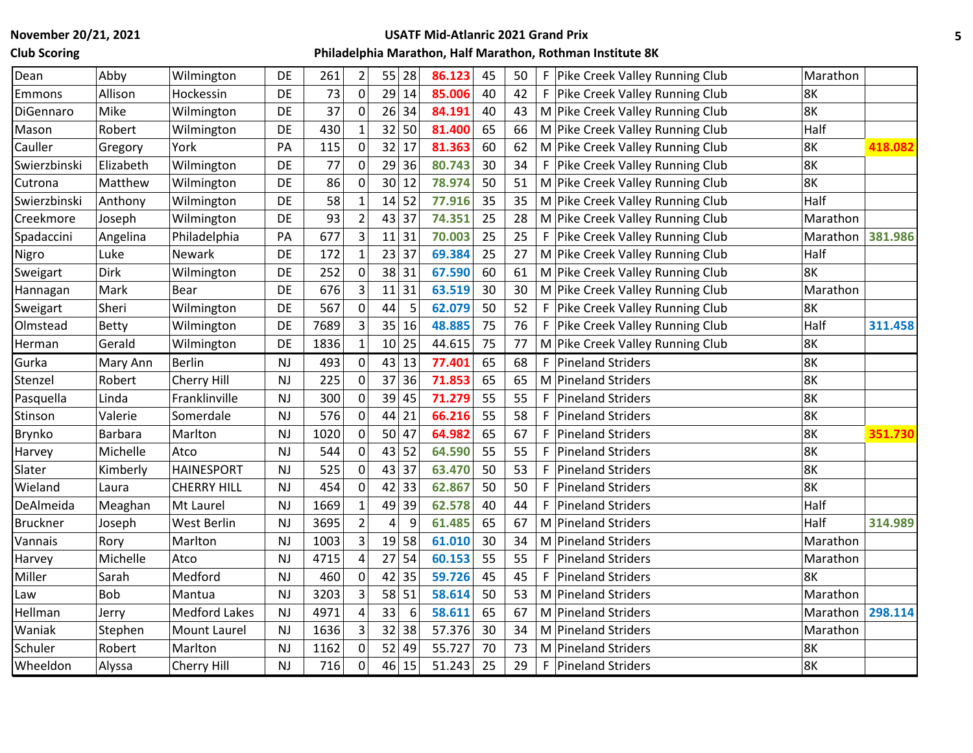**Club Scoring**

# **USATF Mid-Atlanric 2021 Grand Prix**

| Dean            | Abby           | Wilmington           | DE        | 261  | $\overline{2}$ |                 | 55 28   | 86.123 | 45 | 50 | F. | Pike Creek Valley Running Club     | Marathon |         |
|-----------------|----------------|----------------------|-----------|------|----------------|-----------------|---------|--------|----|----|----|------------------------------------|----------|---------|
| Emmons          | Allison        | Hockessin            | DE        | 73   | $\mathbf 0$    |                 | 29 14   | 85.006 | 40 | 42 |    | F   Pike Creek Valley Running Club | 8K       |         |
| DiGennaro       | Mike           | Wilmington           | DE        | 37   | 0              |                 | 26 34   | 84.191 | 40 | 43 |    | M Pike Creek Valley Running Club   | 8K       |         |
| Mason           | Robert         | Wilmington           | DE        | 430  | 1              |                 | 32 50   | 81.400 | 65 | 66 |    | M Pike Creek Valley Running Club   | Half     |         |
| Cauller         | Gregory        | York                 | PA        | 115  | $\mathbf 0$    |                 | 32 17   | 81.363 | 60 | 62 |    | M Pike Creek Valley Running Club   | 8K       | 418.082 |
| Swierzbinski    | Elizabeth      | Wilmington           | DE        | 77   | $\mathbf 0$    |                 | $29$ 36 | 80.743 | 30 | 34 |    | F   Pike Creek Valley Running Club | 8K       |         |
| Cutrona         | Matthew        | Wilmington           | DE        | 86   | $\mathbf 0$    | 30 <sup>1</sup> | 12      | 78.974 | 50 | 51 |    | M Pike Creek Valley Running Club   | 8K       |         |
| Swierzbinski    | Anthony        | Wilmington           | DE        | 58   | $\mathbf{1}$   | 14              | 52      | 77.916 | 35 | 35 |    | M Pike Creek Valley Running Club   | Half     |         |
| Creekmore       | Joseph         | Wilmington           | DE        | 93   | $\overline{2}$ |                 | 43 37   | 74.351 | 25 | 28 |    | M Pike Creek Valley Running Club   | Marathon |         |
| Spadaccini      | Angelina       | Philadelphia         | PA        | 677  | 3              |                 | 11 31   | 70.003 | 25 | 25 |    | F Pike Creek Valley Running Club   | Marathon | 381.986 |
| Nigro           | Luke           | Newark               | DE        | 172  | $\mathbf{1}$   |                 | 23 37   | 69.384 | 25 | 27 |    | M Pike Creek Valley Running Club   | Half     |         |
| Sweigart        | Dirk           | Wilmington           | DE        | 252  | $\mathbf 0$    |                 | 38 31   | 67.590 | 60 | 61 |    | M Pike Creek Valley Running Club   | 8K       |         |
| Hannagan        | Mark           | Bear                 | DE        | 676  | 3              |                 | $11$ 31 | 63.519 | 30 | 30 |    | M Pike Creek Valley Running Club   | Marathon |         |
| Sweigart        | Sheri          | Wilmington           | DE        | 567  | $\mathbf 0$    | 44              | 5       | 62.079 | 50 | 52 |    | F Pike Creek Valley Running Club   | 8K       |         |
| Olmstead        | <b>Betty</b>   | Wilmington           | DE        | 7689 | 3              |                 | 35 16   | 48.885 | 75 | 76 |    | F Pike Creek Valley Running Club   | Half     | 311.458 |
| Herman          | Gerald         | Wilmington           | <b>DE</b> | 1836 | $\mathbf{1}$   |                 | 10 25   | 44.615 | 75 | 77 |    | M Pike Creek Valley Running Club   | 8K       |         |
| Gurka           | Mary Ann       | <b>Berlin</b>        | <b>NJ</b> | 493  | $\mathbf 0$    |                 | 43 13   | 77.401 | 65 | 68 | F. | <b>Pineland Striders</b>           | 8K       |         |
| Stenzel         | Robert         | Cherry Hill          | <b>NJ</b> | 225  | 0              | 37              | 36      | 71.853 | 65 | 65 |    | M Pineland Striders                | 8K       |         |
| Pasquella       | Linda          | Franklinville        | <b>NJ</b> | 300  | $\mathbf 0$    |                 | 39 45   | 71.279 | 55 | 55 | F. | <b>Pineland Striders</b>           | 8K       |         |
| Stinson         | Valerie        | Somerdale            | <b>NJ</b> | 576  | $\mathbf 0$    |                 | $44$ 21 | 66.216 | 55 | 58 | F. | <b>Pineland Striders</b>           | 8K       |         |
| Brynko          | <b>Barbara</b> | Marlton              | <b>NJ</b> | 1020 | $\mathbf 0$    |                 | 50 47   | 64.982 | 65 | 67 |    | F   Pineland Striders              | 8K       | 351.730 |
| Harvey          | Michelle       | Atco                 | <b>NJ</b> | 544  | 0              | 43              | 52      | 64.590 | 55 | 55 | F. | <b>Pineland Striders</b>           | 8K       |         |
| Slater          | Kimberly       | <b>HAINESPORT</b>    | NJ        | 525  | $\mathbf 0$    | 43              | 37      | 63.470 | 50 | 53 |    | F   Pineland Striders              | 8K       |         |
| Wieland         | Laura          | <b>CHERRY HILL</b>   | NJ        | 454  | 0              |                 | 42 33   | 62.867 | 50 | 50 | F. | <b>Pineland Striders</b>           | 8K       |         |
| DeAlmeida       | Meaghan        | Mt Laurel            | <b>NJ</b> | 1669 | $\mathbf{1}$   |                 | 49 39   | 62.578 | 40 | 44 | F. | <b>Pineland Striders</b>           | Half     |         |
| <b>Bruckner</b> | Joseph         | West Berlin          | <b>NJ</b> | 3695 | $\overline{2}$ | 4               | 9       | 61.485 | 65 | 67 |    | M Pineland Striders                | Half     | 314.989 |
| Vannais         | Rory           | Marlton              | <b>NJ</b> | 1003 | 3              |                 | $19$ 58 | 61.010 | 30 | 34 |    | M Pineland Striders                | Marathon |         |
| Harvey          | Michelle       | Atco                 | <b>NJ</b> | 4715 | $\overline{4}$ | 27              | 54      | 60.153 | 55 | 55 |    | F   Pineland Striders              | Marathon |         |
| Miller          | Sarah          | Medford              | <b>NJ</b> | 460  | $\mathbf 0$    | 42              | 35      | 59.726 | 45 | 45 | F. | <b>Pineland Striders</b>           | 8K       |         |
| Law             | <b>Bob</b>     | Mantua               | <b>NJ</b> | 3203 | 3              |                 | 58 51   | 58.614 | 50 | 53 |    | M Pineland Striders                | Marathon |         |
| Hellman         | Jerry          | <b>Medford Lakes</b> | <b>NJ</b> | 4971 | 4              | 33              | 6       | 58.611 | 65 | 67 |    | M Pineland Striders                | Marathon | 298.114 |
| Waniak          | Stephen        | <b>Mount Laurel</b>  | <b>NJ</b> | 1636 | 3              |                 | 32 38   | 57.376 | 30 | 34 |    | M Pineland Striders                | Marathon |         |
| Schuler         | Robert         | Marlton              | <b>NJ</b> | 1162 | 0              | 52              | 49      | 55.727 | 70 | 73 |    | M Pineland Striders                | 8K       |         |
| Wheeldon        | Alyssa         | Cherry Hill          | NJ        | 716  | $\mathbf 0$    |                 | 46 15   | 51.243 | 25 | 29 |    | F Pineland Striders                | 8K       |         |